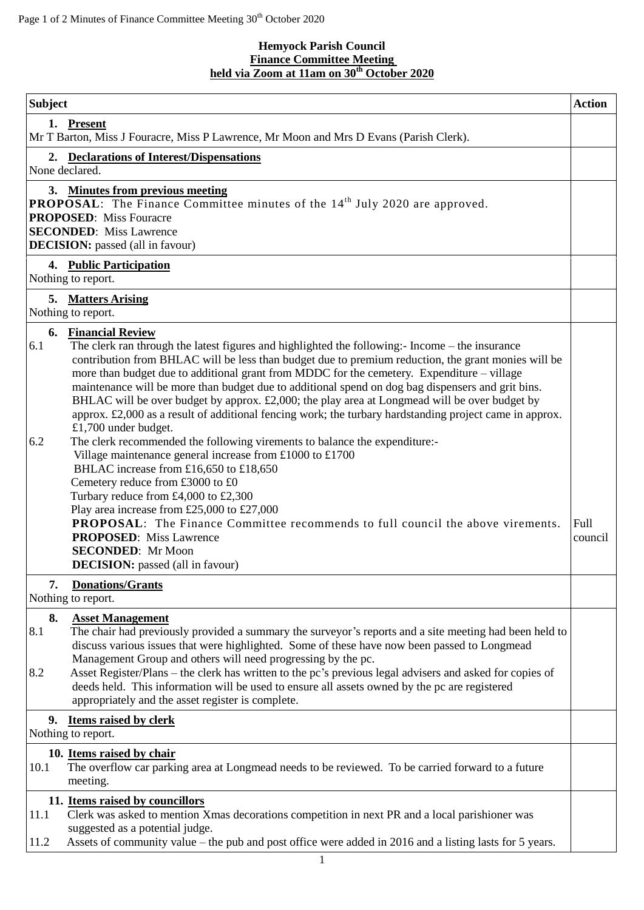## **Hemyock Parish Council Finance Committee Meeting held via Zoom at 11am on 30th October 2020**

| <b>Subject</b>                                                                                                                                                                                                                                                                                                                                                                                                                                                                                                                                                                                                                                                                                                                                                                                                                                                                                                                                                                                                                                                                                                                                                                                             | <b>Action</b>   |  |  |
|------------------------------------------------------------------------------------------------------------------------------------------------------------------------------------------------------------------------------------------------------------------------------------------------------------------------------------------------------------------------------------------------------------------------------------------------------------------------------------------------------------------------------------------------------------------------------------------------------------------------------------------------------------------------------------------------------------------------------------------------------------------------------------------------------------------------------------------------------------------------------------------------------------------------------------------------------------------------------------------------------------------------------------------------------------------------------------------------------------------------------------------------------------------------------------------------------------|-----------------|--|--|
| 1. Present<br>Mr T Barton, Miss J Fouracre, Miss P Lawrence, Mr Moon and Mrs D Evans (Parish Clerk).                                                                                                                                                                                                                                                                                                                                                                                                                                                                                                                                                                                                                                                                                                                                                                                                                                                                                                                                                                                                                                                                                                       |                 |  |  |
| 2. Declarations of Interest/Dispensations<br>None declared.                                                                                                                                                                                                                                                                                                                                                                                                                                                                                                                                                                                                                                                                                                                                                                                                                                                                                                                                                                                                                                                                                                                                                |                 |  |  |
| 3. Minutes from previous meeting<br><b>PROPOSAL:</b> The Finance Committee minutes of the 14 <sup>th</sup> July 2020 are approved.<br><b>PROPOSED:</b> Miss Fouracre<br><b>SECONDED:</b> Miss Lawrence<br><b>DECISION:</b> passed (all in favour)                                                                                                                                                                                                                                                                                                                                                                                                                                                                                                                                                                                                                                                                                                                                                                                                                                                                                                                                                          |                 |  |  |
| 4. Public Participation<br>Nothing to report.                                                                                                                                                                                                                                                                                                                                                                                                                                                                                                                                                                                                                                                                                                                                                                                                                                                                                                                                                                                                                                                                                                                                                              |                 |  |  |
| 5. Matters Arising<br>Nothing to report.                                                                                                                                                                                                                                                                                                                                                                                                                                                                                                                                                                                                                                                                                                                                                                                                                                                                                                                                                                                                                                                                                                                                                                   |                 |  |  |
| <b>6. Financial Review</b><br>The clerk ran through the latest figures and highlighted the following:- Income – the insurance<br>6.1<br>contribution from BHLAC will be less than budget due to premium reduction, the grant monies will be<br>more than budget due to additional grant from MDDC for the cemetery. Expenditure – village<br>maintenance will be more than budget due to additional spend on dog bag dispensers and grit bins.<br>BHLAC will be over budget by approx. £2,000; the play area at Longmead will be over budget by<br>approx. £2,000 as a result of additional fencing work; the turbary hardstanding project came in approx.<br>£1,700 under budget.<br>The clerk recommended the following virements to balance the expenditure:-<br>6.2<br>Village maintenance general increase from £1000 to £1700<br>BHLAC increase from £16,650 to £18,650<br>Cemetery reduce from £3000 to £0<br>Turbary reduce from £4,000 to £2,300<br>Play area increase from £25,000 to £27,000<br><b>PROPOSAL:</b> The Finance Committee recommends to full council the above virements.<br><b>PROPOSED:</b> Miss Lawrence<br><b>SECONDED:</b> Mr Moon<br><b>DECISION:</b> passed (all in favour) | Full<br>council |  |  |
| <b>Donations/Grants</b><br>7.<br>Nothing to report.                                                                                                                                                                                                                                                                                                                                                                                                                                                                                                                                                                                                                                                                                                                                                                                                                                                                                                                                                                                                                                                                                                                                                        |                 |  |  |
| 8.<br><b>Asset Management</b><br>8.1<br>The chair had previously provided a summary the surveyor's reports and a site meeting had been held to<br>discuss various issues that were highlighted. Some of these have now been passed to Longmead<br>Management Group and others will need progressing by the pc.<br>Asset Register/Plans - the clerk has written to the pc's previous legal advisers and asked for copies of<br>8.2<br>deeds held. This information will be used to ensure all assets owned by the pc are registered<br>appropriately and the asset register is complete.                                                                                                                                                                                                                                                                                                                                                                                                                                                                                                                                                                                                                    |                 |  |  |
| 9. Items raised by clerk<br>Nothing to report.                                                                                                                                                                                                                                                                                                                                                                                                                                                                                                                                                                                                                                                                                                                                                                                                                                                                                                                                                                                                                                                                                                                                                             |                 |  |  |
| 10. Items raised by chair<br>10.1<br>The overflow car parking area at Longmead needs to be reviewed. To be carried forward to a future<br>meeting.                                                                                                                                                                                                                                                                                                                                                                                                                                                                                                                                                                                                                                                                                                                                                                                                                                                                                                                                                                                                                                                         |                 |  |  |
| 11. Items raised by councillors<br>Clerk was asked to mention Xmas decorations competition in next PR and a local parishioner was<br>11.1<br>suggested as a potential judge.<br>Assets of community value – the pub and post office were added in 2016 and a listing lasts for 5 years.<br>11.2                                                                                                                                                                                                                                                                                                                                                                                                                                                                                                                                                                                                                                                                                                                                                                                                                                                                                                            |                 |  |  |